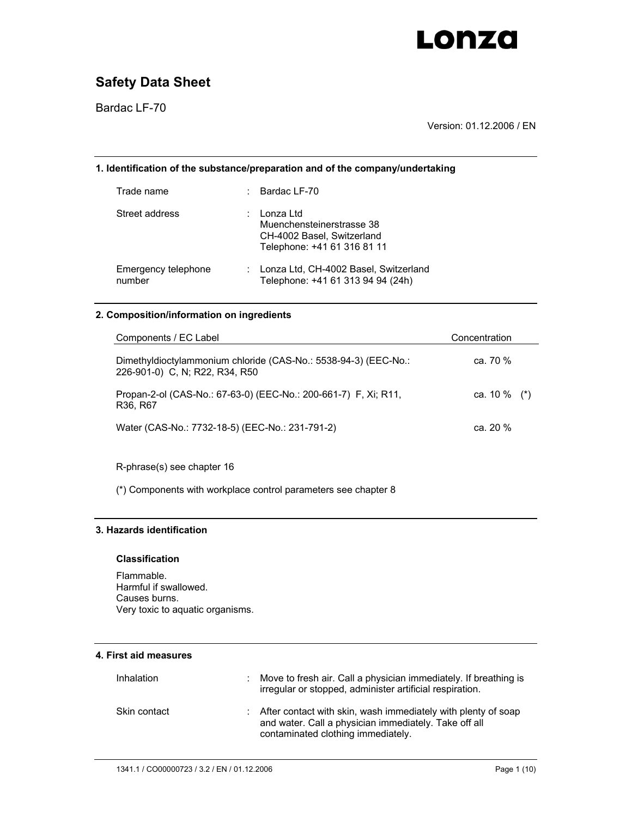

Bardac LF-70

Version: 01.12.2006 / EN

## **1. Identification of the substance/preparation and of the company/undertaking**

| Trade name                    | $\therefore$ Bardac LF-70                                                                           |
|-------------------------------|-----------------------------------------------------------------------------------------------------|
| Street address                | Lonza Ltd<br>Muenchensteinerstrasse 38<br>CH-4002 Basel, Switzerland<br>Telephone: +41 61 316 81 11 |
| Emergency telephone<br>number | : Lonza Ltd, CH-4002 Basel, Switzerland<br>Telephone: +41 61 313 94 94 (24h)                        |

#### **2. Composition/information on ingredients**

| Components / EC Label                                                                                | Concentration   |
|------------------------------------------------------------------------------------------------------|-----------------|
| Dimethyldioctylammonium chloride (CAS-No.: 5538-94-3) (EEC-No.:<br>226-901-0) C, N; R22, R34, R50    | ca. 70 %        |
| Propan-2-ol (CAS-No.: 67-63-0) (EEC-No.: 200-661-7) F, Xi; R11,<br>R <sub>36</sub> , R <sub>67</sub> | ca. 10 $\%$ (*) |
| Water (CAS-No.: 7732-18-5) (EEC-No.: 231-791-2)                                                      | ca. $20\%$      |

R-phrase(s) see chapter 16

(\*) Components with workplace control parameters see chapter 8

### **3. Hazards identification**

#### **Classification**

Flammable. Harmful if swallowed. Causes burns. Very toxic to aquatic organisms.

### **4. First aid measures**

| Inhalation   | : Move to fresh air. Call a physician immediately. If breathing is<br>irregular or stopped, administer artificial respiration.                                 |
|--------------|----------------------------------------------------------------------------------------------------------------------------------------------------------------|
| Skin contact | : After contact with skin, wash immediately with plenty of soap<br>and water. Call a physician immediately. Take off all<br>contaminated clothing immediately. |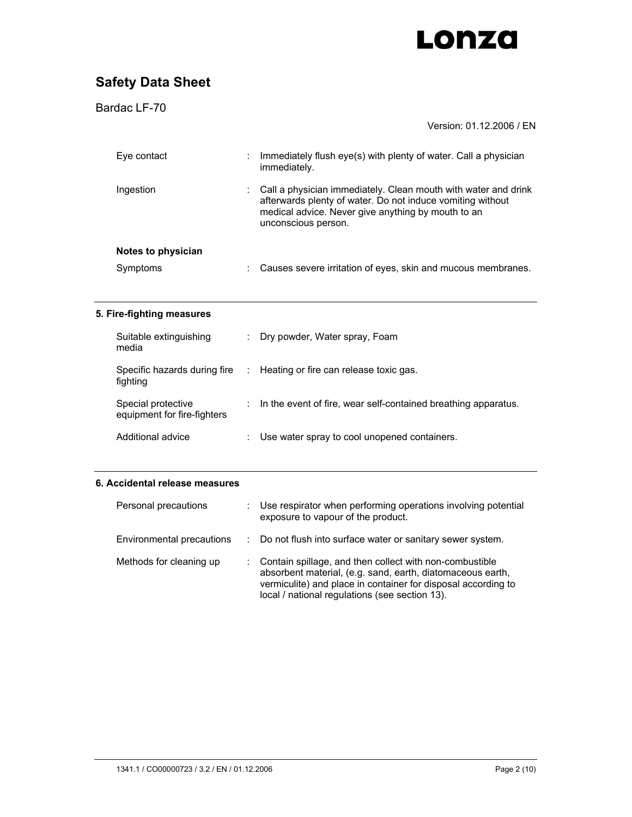

| Bardac LF-70                                      |    |                                                                                                                                                                                                           |
|---------------------------------------------------|----|-----------------------------------------------------------------------------------------------------------------------------------------------------------------------------------------------------------|
|                                                   |    | Version: 01.12.2006 / EN                                                                                                                                                                                  |
| Eye contact                                       |    | Immediately flush eye(s) with plenty of water. Call a physician<br>immediately.                                                                                                                           |
| Ingestion                                         |    | Call a physician immediately. Clean mouth with water and drink<br>afterwards plenty of water. Do not induce vomiting without<br>medical advice. Never give anything by mouth to an<br>unconscious person. |
| Notes to physician                                |    |                                                                                                                                                                                                           |
| Symptoms                                          |    | Causes severe irritation of eyes, skin and mucous membranes.                                                                                                                                              |
| 5. Fire-fighting measures                         |    |                                                                                                                                                                                                           |
| Suitable extinguishing<br>media                   |    | Dry powder, Water spray, Foam                                                                                                                                                                             |
| Specific hazards during fire<br>fighting          | ÷. | Heating or fire can release toxic gas.                                                                                                                                                                    |
| Special protective<br>equipment for fire-fighters |    | In the event of fire, wear self-contained breathing apparatus.                                                                                                                                            |
| Additional advice                                 |    | Use water spray to cool unopened containers.                                                                                                                                                              |
| 6. Accidental release measures                    |    |                                                                                                                                                                                                           |
| Personal precautions                              |    | Use respirator when performing operations involving potential                                                                                                                                             |

|                           | exposure to vapour of the product.                                                                                                                                                                                                       |
|---------------------------|------------------------------------------------------------------------------------------------------------------------------------------------------------------------------------------------------------------------------------------|
| Environmental precautions | : Do not flush into surface water or sanitary sewer system.                                                                                                                                                                              |
| Methods for cleaning up   | Contain spillage, and then collect with non-combustible<br>absorbent material, (e.g. sand, earth, diatomaceous earth,<br>vermiculite) and place in container for disposal according to<br>local / national regulations (see section 13). |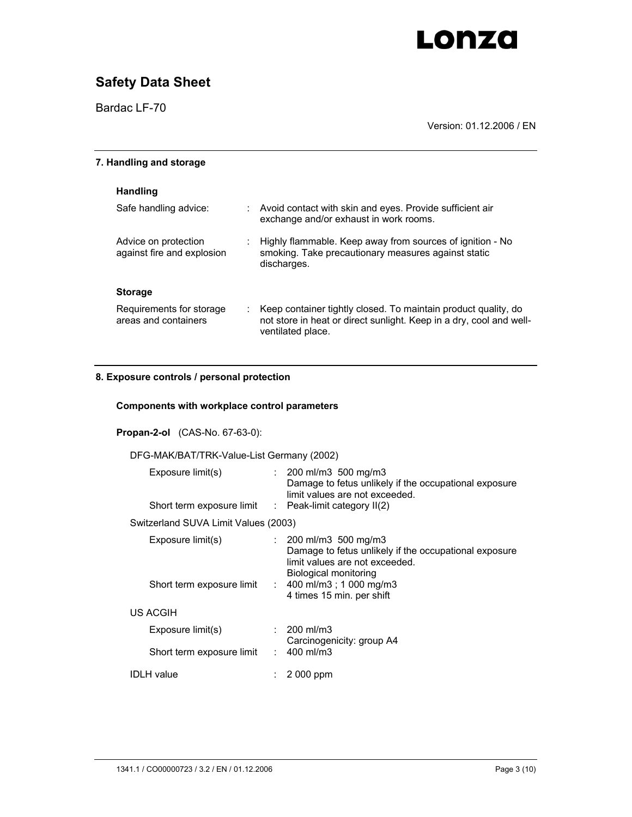# **Safety Data Sheet**

Bardac LF-70

Version: 01.12.2006 / EN

| 7. Handling and storage                            |    |                                                                                                                                                            |
|----------------------------------------------------|----|------------------------------------------------------------------------------------------------------------------------------------------------------------|
| <b>Handling</b>                                    |    |                                                                                                                                                            |
| Safe handling advice:                              |    | : Avoid contact with skin and eyes. Provide sufficient air<br>exchange and/or exhaust in work rooms.                                                       |
| Advice on protection<br>against fire and explosion |    | Highly flammable. Keep away from sources of ignition - No<br>smoking. Take precautionary measures against static<br>discharges.                            |
| <b>Storage</b>                                     |    |                                                                                                                                                            |
| Requirements for storage<br>areas and containers   | ÷. | Keep container tightly closed. To maintain product quality, do<br>not store in heat or direct sunlight. Keep in a dry, cool and well-<br>ventilated place. |

## **8. Exposure controls / personal protection**

### **Components with workplace control parameters**

#### **Propan-2-ol** (CAS-No. 67-63-0):

### DFG-MAK/BAT/TRK-Value-List Germany (2002)

| Exposure limit(s)<br>Short term exposure limit | $\therefore$ 200 ml/m3 500 mg/m3<br>Damage to fetus unlikely if the occupational exposure<br>limit values are not exceeded.<br>$\therefore$ Peak-limit category II(2)                                                    |
|------------------------------------------------|--------------------------------------------------------------------------------------------------------------------------------------------------------------------------------------------------------------------------|
| Switzerland SUVA Limit Values (2003)           |                                                                                                                                                                                                                          |
| Exposure limit(s)<br>Short term exposure limit | $\therefore$ 200 ml/m3 500 mg/m3<br>Damage to fetus unlikely if the occupational exposure<br>limit values are not exceeded.<br>Biological monitoring<br>: $400 \text{ ml/m}3$ ; 1 000 mg/m3<br>4 times 15 min. per shift |
| US ACGIH                                       |                                                                                                                                                                                                                          |
| Exposure limit(s)                              | $: 200 \text{ ml/m}$ 3<br>Carcinogenicity: group A4                                                                                                                                                                      |
| Short term exposure limit                      | : $400 \text{ ml/m}$ 3                                                                                                                                                                                                   |
| IDLH value                                     | 2 000 ppm                                                                                                                                                                                                                |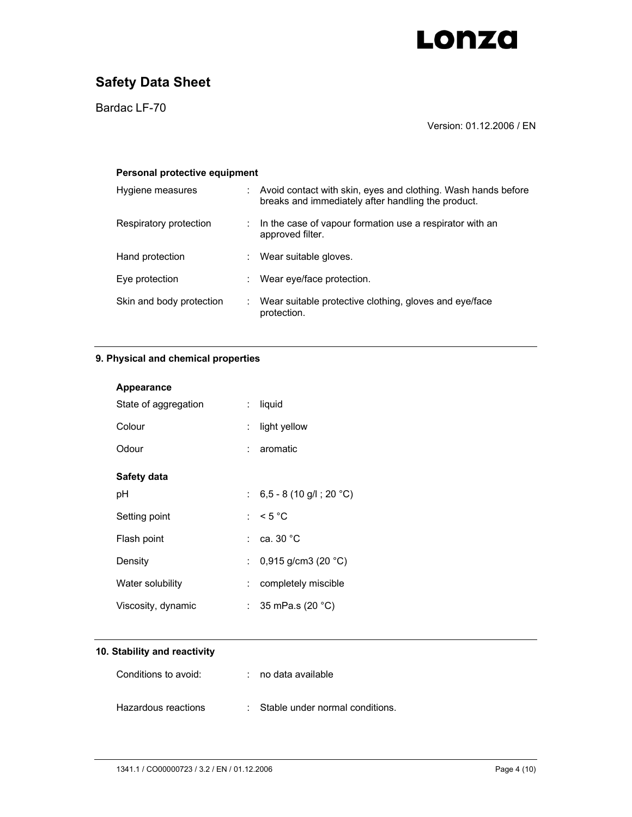

Bardac LF-70

Version: 01.12.2006 / EN

| Personal protective equipment |  |                                                                                                                     |  |  |
|-------------------------------|--|---------------------------------------------------------------------------------------------------------------------|--|--|
| Hygiene measures              |  | Avoid contact with skin, eyes and clothing. Wash hands before<br>breaks and immediately after handling the product. |  |  |
| Respiratory protection        |  | In the case of vapour formation use a respirator with an<br>approved filter.                                        |  |  |
| Hand protection               |  | Wear suitable gloves.                                                                                               |  |  |
| Eye protection                |  | Wear eye/face protection.                                                                                           |  |  |
| Skin and body protection      |  | Wear suitable protective clothing, gloves and eye/face<br>protection.                                               |  |  |

## **9. Physical and chemical properties**

| Appearance           |    |                                            |
|----------------------|----|--------------------------------------------|
| State of aggregation | t. | liquid                                     |
| Colour               |    | light yellow                               |
| Odour                |    | $: a$ romatic                              |
| Safety data          |    |                                            |
| рH                   |    | : $6,5 - 8(10 \text{ g/l}; 20 \text{ °C})$ |
| Setting point        |    | : $< 5 °C$                                 |
| Flash point          |    | $:$ $\,$ ca. 30 $\,^{\circ}$ C $\,$        |
| Density              |    | : $0,915$ g/cm3 (20 °C)                    |
| Water solubility     | ÷. | completely miscible                        |
| Viscosity, dynamic   |    | : 35 mPa.s (20 $^{\circ}$ C)               |

## **10. Stability and reactivity**

| Conditions to avoid: | $:$ no data available             |
|----------------------|-----------------------------------|
| Hazardous reactions  | : Stable under normal conditions. |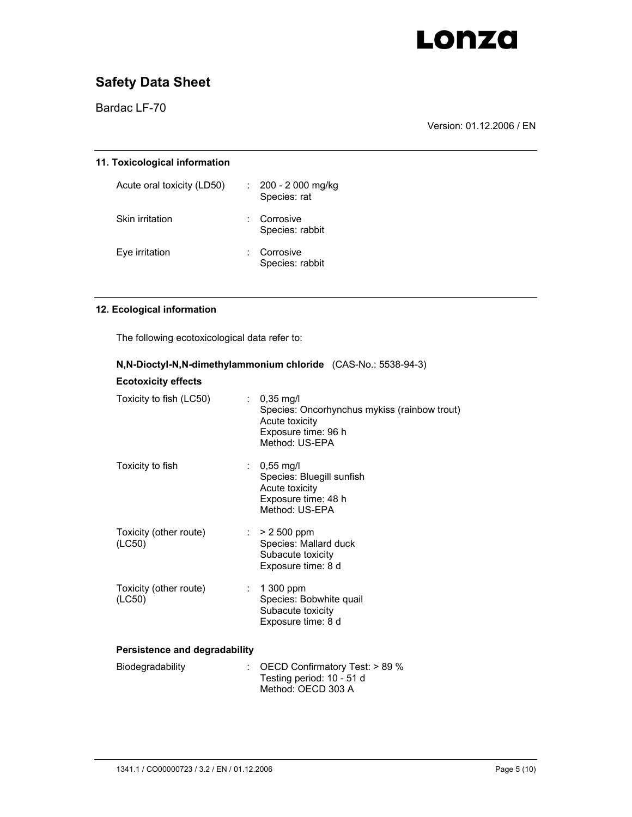

Bardac LF-70

Version: 01.12.2006 / EN

| 11. Toxicological information |   |                                               |  |
|-------------------------------|---|-----------------------------------------------|--|
| Acute oral toxicity (LD50)    |   | $\therefore$ 200 - 2000 mg/kg<br>Species: rat |  |
| Skin irritation               | ÷ | Corrosive<br>Species: rabbit                  |  |
| Eye irritation                |   | Corrosive<br>Species: rabbit                  |  |

## **12. Ecological information**

The following ecotoxicological data refer to:

| <b>Ecotoxicity effects</b>       |                                                                                                                                  |  |  |  |
|----------------------------------|----------------------------------------------------------------------------------------------------------------------------------|--|--|--|
| Toxicity to fish (LC50)          | : $0,35 \text{ mg/l}$<br>Species: Oncorhynchus mykiss (rainbow trout)<br>Acute toxicity<br>Exposure time: 96 h<br>Method: US-EPA |  |  |  |
| Toxicity to fish                 | : $0,55 \text{ mg/l}$<br>Species: Bluegill sunfish<br>Acute toxicity<br>Exposure time: 48 h<br>Method: US-EPA                    |  |  |  |
| Toxicity (other route)<br>(LC50) | $: > 2500$ ppm<br>Species: Mallard duck<br>Subacute toxicity<br>Exposure time: 8 d                                               |  |  |  |
| Toxicity (other route)<br>(LC50) | $\div$ 1 300 ppm<br>Species: Bobwhite quail<br>Subacute toxicity<br>Exposure time: 8 d                                           |  |  |  |
| Persistence and degradability    |                                                                                                                                  |  |  |  |
| Biodegradability<br>t.           | OECD Confirmatory Test: > 89 %<br>Testing period: 10 - 51 d<br>Method: OECD 303 A                                                |  |  |  |

**N,N-Dioctyl-N,N-dimethylammonium chloride** (CAS-No.: 5538-94-3)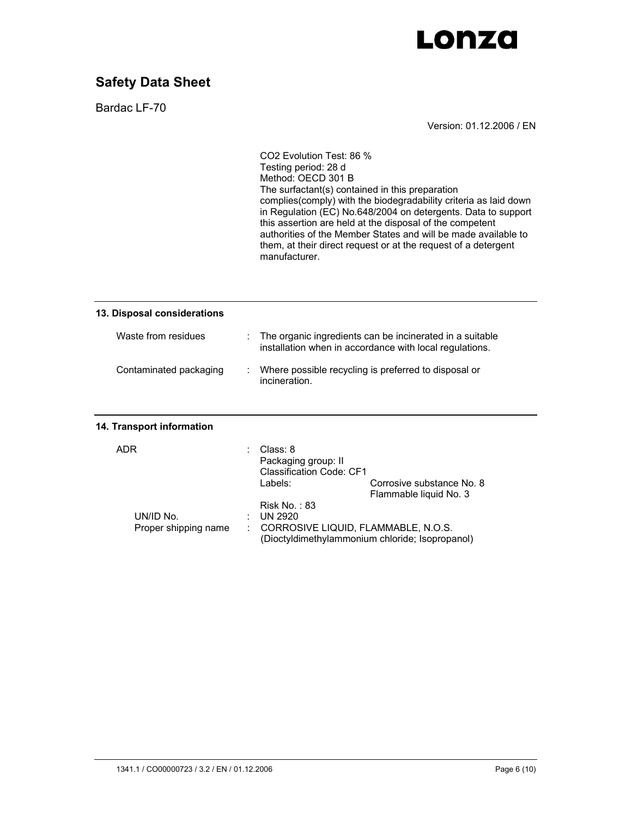

Bardac LF-70

Version: 01.12.2006 / EN

| 13. Disposal considerations |                                                                                                                     |
|-----------------------------|---------------------------------------------------------------------------------------------------------------------|
| Waste from residues         | The organic ingredients can be incinerated in a suitable<br>installation when in accordance with local regulations. |
| Contaminated packaging      | Where possible recycling is preferred to disposal or<br>incineration.                                               |
| 14. Transport information   |                                                                                                                     |
| <b>ADR</b>                  | Class: 8<br>Packaging group: II<br><b>Classification Code: CF1</b><br>Labels:<br>Corrosive substance No. 8          |
|                             | Flammable liquid No. 3                                                                                              |
|                             | Risk No.: $83$                                                                                                      |
| UN/ID No.                   | <b>UN 2920</b>                                                                                                      |
| Proper shipping name        | CORROSIVE LIQUID, FLAMMABLE, N.O.S.<br>(Dioctyldimethylammonium chloride; Isopropanol)                              |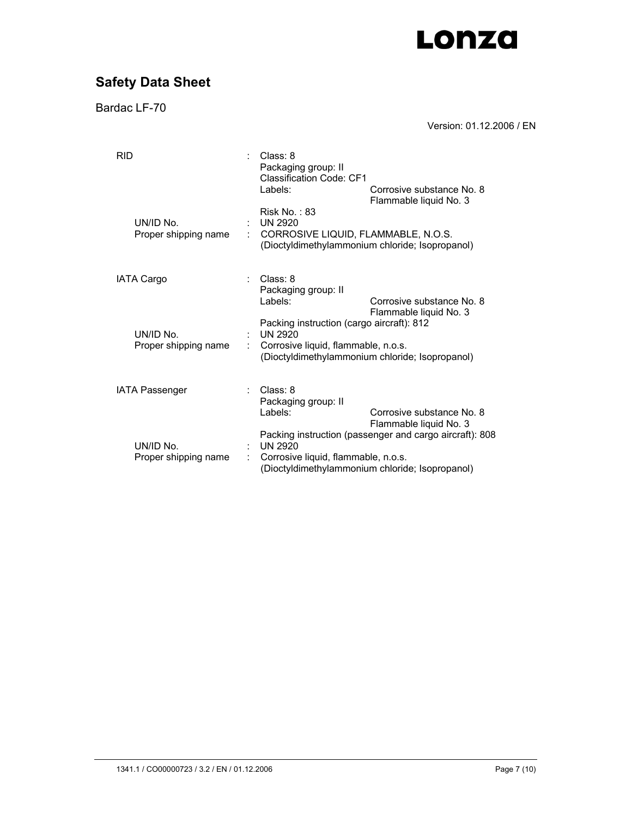# **Safety Data Sheet**

Bardac LF-70

Version: 01.12.2006 / EN

| <b>RID</b> |                                   | Class: 8<br>Packaging group: II<br><b>Classification Code: CF1</b><br>Labels:               | Corrosive substance No. 8                                                                                  |
|------------|-----------------------------------|---------------------------------------------------------------------------------------------|------------------------------------------------------------------------------------------------------------|
|            | UN/ID No.<br>Proper shipping name | Risk No.: $83$<br><b>UN 2920</b><br>CORROSIVE LIQUID, FLAMMABLE, N.O.S.                     | Flammable liquid No. 3<br>(Dioctyldimethylammonium chloride; Isopropanol)                                  |
|            | <b>IATA Cargo</b>                 | Class: 8<br>Packaging group: II<br>Labels:                                                  | Corrosive substance No. 8<br>Flammable liquid No. 3                                                        |
|            | UN/ID No.<br>Proper shipping name | Packing instruction (cargo aircraft): 812<br>UN 2920<br>Corrosive liquid, flammable, n.o.s. | (Dioctyldimethylammonium chloride; Isopropanol)                                                            |
|            | <b>IATA Passenger</b>             | Class: 8<br>Packaging group: II<br>Labels:                                                  | Corrosive substance No. 8<br>Flammable liquid No. 3                                                        |
|            | UN/ID No.<br>Proper shipping name | <b>UN 2920</b><br>Corrosive liquid, flammable, n.o.s.                                       | Packing instruction (passenger and cargo aircraft): 808<br>(Dioctyldimethylammonium chloride; Isopropanol) |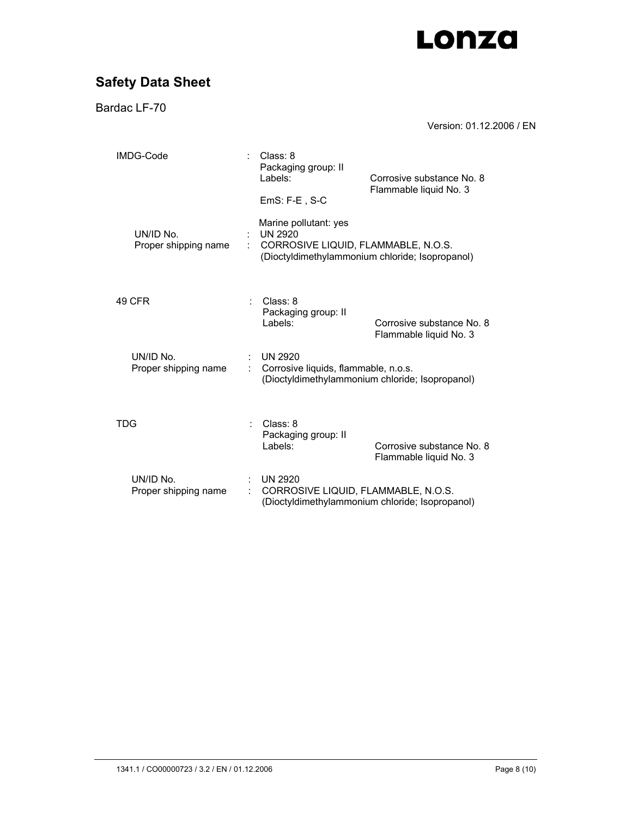# **Safety Data Sheet**

Bardac LF-70

Version: 01.12.2006 / EN

| IMDG-Code |                                   |   | Class: 8<br>Packaging group: II<br>Labels:                              | Corrosive substance No. 8                           |
|-----------|-----------------------------------|---|-------------------------------------------------------------------------|-----------------------------------------------------|
|           |                                   |   | $EmS: F-E$ , S-C                                                        | Flammable liquid No. 3                              |
|           | UN/ID No.<br>Proper shipping name | ÷ | Marine pollutant: yes<br>UN 2920<br>CORROSIVE LIQUID, FLAMMABLE, N.O.S. | (Dioctyldimethylammonium chloride; Isopropanol)     |
|           | 49 CFR                            |   | Class: 8<br>Packaging group: II<br>l abels:                             | Corrosive substance No. 8<br>Flammable liquid No. 3 |
|           | UN/ID No.<br>Proper shipping name |   | <b>UN 2920</b><br>Corrosive liquids, flammable, n.o.s.                  | (Dioctyldimethylammonium chloride; Isopropanol)     |
| TDG       |                                   |   | Class: 8<br>Packaging group: II<br>Labels:                              | Corrosive substance No. 8<br>Flammable liquid No. 3 |
|           | UN/ID No.<br>Proper shipping name |   | <b>UN 2920</b><br>CORROSIVE LIQUID, FLAMMABLE, N.O.S.                   | (Dioctyldimethylammonium chloride; Isopropanol)     |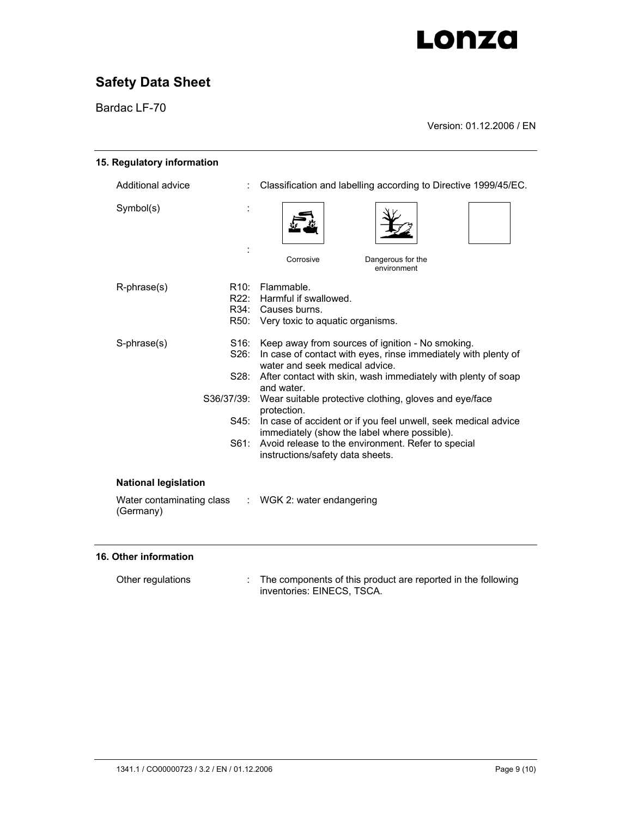# **Safety Data Sheet**

Bardac LF-70

Version: 01.12.2006 / EN

| 15. Regulatory information                                                                       |                                                    |                                                                                                                                                                                                                                                                                                                                                                                                                                                                                                                          |  |
|--------------------------------------------------------------------------------------------------|----------------------------------------------------|--------------------------------------------------------------------------------------------------------------------------------------------------------------------------------------------------------------------------------------------------------------------------------------------------------------------------------------------------------------------------------------------------------------------------------------------------------------------------------------------------------------------------|--|
| Additional advice                                                                                |                                                    | Classification and labelling according to Directive 1999/45/EC.                                                                                                                                                                                                                                                                                                                                                                                                                                                          |  |
| Symbol(s)                                                                                        |                                                    | Corrosive<br>Dangerous for the                                                                                                                                                                                                                                                                                                                                                                                                                                                                                           |  |
|                                                                                                  |                                                    | environment                                                                                                                                                                                                                                                                                                                                                                                                                                                                                                              |  |
| R-phrase(s)                                                                                      | R10:<br>R22:                                       | Flammable.<br>Harmful if swallowed.<br>R34: Causes burns.<br>R50: Very toxic to aquatic organisms.                                                                                                                                                                                                                                                                                                                                                                                                                       |  |
| S-phrase(s)                                                                                      | S16:<br>S26:<br>S28:<br>S36/37/39:<br>S45:<br>S61: | Keep away from sources of ignition - No smoking.<br>In case of contact with eyes, rinse immediately with plenty of<br>water and seek medical advice.<br>After contact with skin, wash immediately with plenty of soap<br>and water.<br>Wear suitable protective clothing, gloves and eye/face<br>protection.<br>In case of accident or if you feel unwell, seek medical advice<br>immediately (show the label where possible).<br>Avoid release to the environment. Refer to special<br>instructions/safety data sheets. |  |
| <b>National legislation</b><br>Water contaminating class : WGK 2: water endangering<br>(Germany) |                                                    |                                                                                                                                                                                                                                                                                                                                                                                                                                                                                                                          |  |

## **16. Other information**

| Other regulations | The components of this product are reported in the following |
|-------------------|--------------------------------------------------------------|
|                   | inventories: EINECS, TSCA.                                   |